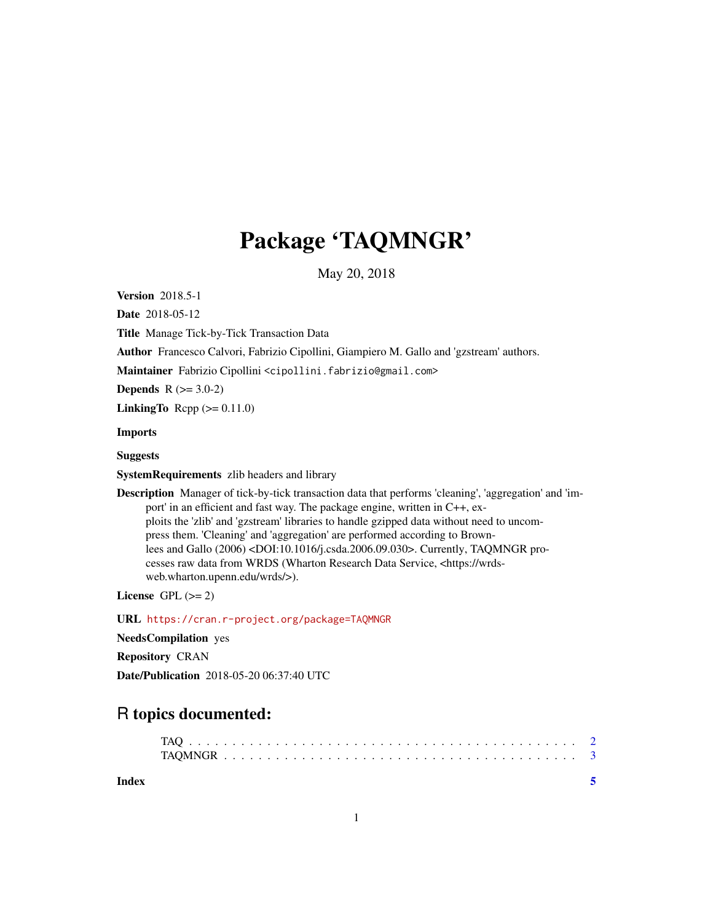## Package 'TAQMNGR'

May 20, 2018

Version 2018.5-1

Date 2018-05-12

Title Manage Tick-by-Tick Transaction Data

Author Francesco Calvori, Fabrizio Cipollini, Giampiero M. Gallo and 'gzstream' authors.

Maintainer Fabrizio Cipollini <cipollini.fabrizio@gmail.com>

**Depends**  $R$  ( $>= 3.0-2$ )

LinkingTo Rcpp  $(>= 0.11.0)$ 

Imports

Suggests

SystemRequirements zlib headers and library

Description Manager of tick-by-tick transaction data that performs 'cleaning', 'aggregation' and 'import' in an efficient and fast way. The package engine, written in C++, exploits the 'zlib' and 'gzstream' libraries to handle gzipped data without need to uncompress them. 'Cleaning' and 'aggregation' are performed according to Brownlees and Gallo (2006) <DOI:10.1016/j.csda.2006.09.030>. Currently, TAQMNGR processes raw data from WRDS (Wharton Research Data Service, <https://wrdsweb.wharton.upenn.edu/wrds/>).

License GPL  $(>= 2)$ 

URL <https://cran.r-project.org/package=TAQMNGR>

NeedsCompilation yes

Repository CRAN

Date/Publication 2018-05-20 06:37:40 UTC

### R topics documented:

**Index** [5](#page-4-0). The second state of the second state of the second state of the second state of the second state of the second state of the second state of the second state of the second state of the second state of the second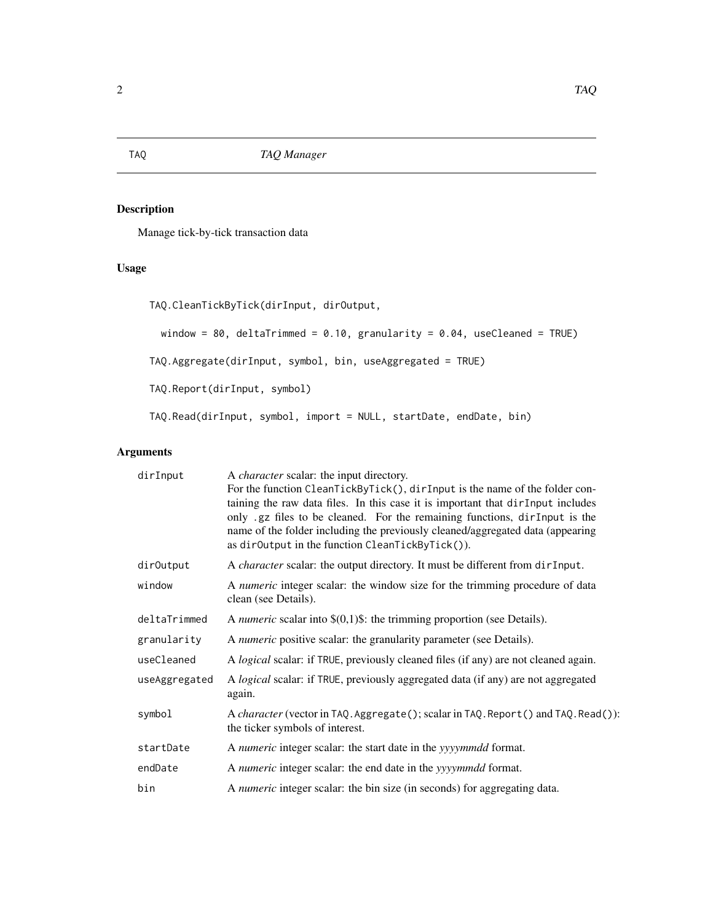#### Description

Manage tick-by-tick transaction data

#### Usage

```
TAQ.CleanTickByTick(dirInput, dirOutput,
 window = 80, deltaTrimmed = 0.10, granularity = 0.04, useCleaned = TRUE)
TAQ.Aggregate(dirInput, symbol, bin, useAggregated = TRUE)
TAQ.Report(dirInput, symbol)
TAQ.Read(dirInput, symbol, import = NULL, startDate, endDate, bin)
```
#### Arguments

| dirInput      | A <i>character</i> scalar: the input directory.                                                                                                                                                                                                                                                                                                                                    |
|---------------|------------------------------------------------------------------------------------------------------------------------------------------------------------------------------------------------------------------------------------------------------------------------------------------------------------------------------------------------------------------------------------|
|               | For the function CleanTickByTick(), dirInput is the name of the folder con-<br>taining the raw data files. In this case it is important that dirInput includes<br>only .gz files to be cleaned. For the remaining functions, dirInput is the<br>name of the folder including the previously cleaned/aggregated data (appearing<br>as dirOutput in the function CleanTickByTick()). |
| dir0utput     | A <i>character</i> scalar: the output directory. It must be different from dirInput.                                                                                                                                                                                                                                                                                               |
| window        | A numeric integer scalar: the window size for the trimming procedure of data<br>clean (see Details).                                                                                                                                                                                                                                                                               |
| deltaTrimmed  | A <i>numeric</i> scalar into $\$(0,1)$$ : the trimming proportion (see Details).                                                                                                                                                                                                                                                                                                   |
| granularity   | A numeric positive scalar: the granularity parameter (see Details).                                                                                                                                                                                                                                                                                                                |
| useCleaned    | A logical scalar: if TRUE, previously cleaned files (if any) are not cleaned again.                                                                                                                                                                                                                                                                                                |
| useAggregated | A logical scalar: if TRUE, previously aggregated data (if any) are not aggregated<br>again.                                                                                                                                                                                                                                                                                        |
| symbol        | A character (vector in TAQ. Aggregate (); scalar in TAQ. Report () and TAQ. Read()):<br>the ticker symbols of interest.                                                                                                                                                                                                                                                            |
| startDate     | A numeric integer scalar: the start date in the yyyymmdd format.                                                                                                                                                                                                                                                                                                                   |
| endDate       | A numeric integer scalar: the end date in the yyyymmdd format.                                                                                                                                                                                                                                                                                                                     |
| bin           | A numeric integer scalar: the bin size (in seconds) for aggregating data.                                                                                                                                                                                                                                                                                                          |

<span id="page-1-0"></span>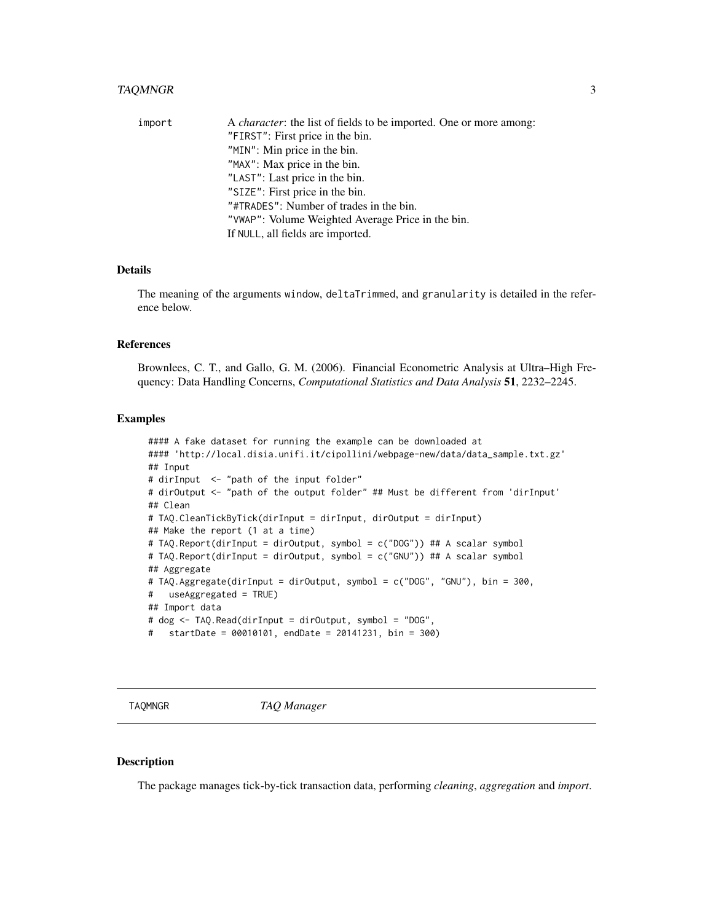#### <span id="page-2-0"></span>TAQMNGR 3

| import | A <i>character</i> : the list of fields to be imported. One or more among: |
|--------|----------------------------------------------------------------------------|
|        | "FIRST": First price in the bin.                                           |
|        | "MIN": Min price in the bin.                                               |
|        | "MAX": Max price in the bin.                                               |
|        | "LAST": Last price in the bin.                                             |
|        | "SIZE": First price in the bin.                                            |
|        | "#TRADES": Number of trades in the bin.                                    |
|        | "VWAP": Volume Weighted Average Price in the bin.                          |
|        | If NULL, all fields are imported.                                          |

#### Details

The meaning of the arguments window, deltaTrimmed, and granularity is detailed in the reference below.

#### References

Brownlees, C. T., and Gallo, G. M. (2006). Financial Econometric Analysis at Ultra–High Frequency: Data Handling Concerns, *Computational Statistics and Data Analysis* 51, 2232–2245.

#### Examples

```
#### A fake dataset for running the example can be downloaded at
#### 'http://local.disia.unifi.it/cipollini/webpage-new/data/data_sample.txt.gz'
## Input
# dirInput <- "path of the input folder"
# dirOutput <- "path of the output folder" ## Must be different from 'dirInput'
## Clean
# TAQ.CleanTickByTick(dirInput = dirInput, dirOutput = dirInput)
## Make the report (1 at a time)
# TAQ.Report(dirInput = dirOutput, symbol = c("DOG")) ## A scalar symbol
# TAQ.Report(dirInput = dirOutput, symbol = c("GNU")) ## A scalar symbol
## Aggregate
# TAQ.Aggregate(dirInput = dirOutput, symbol = c("DOG", "GNU"), bin = 300,
# useAggregated = TRUE)
## Import data
# dog <- TAQ.Read(dirInput = dirOutput, symbol = "DOG",
# startDate = 00010101, endDate = 20141231, bin = 300)
```
TAQMNGR *TAQ Manager*

#### Description

The package manages tick-by-tick transaction data, performing *cleaning*, *aggregation* and *import*.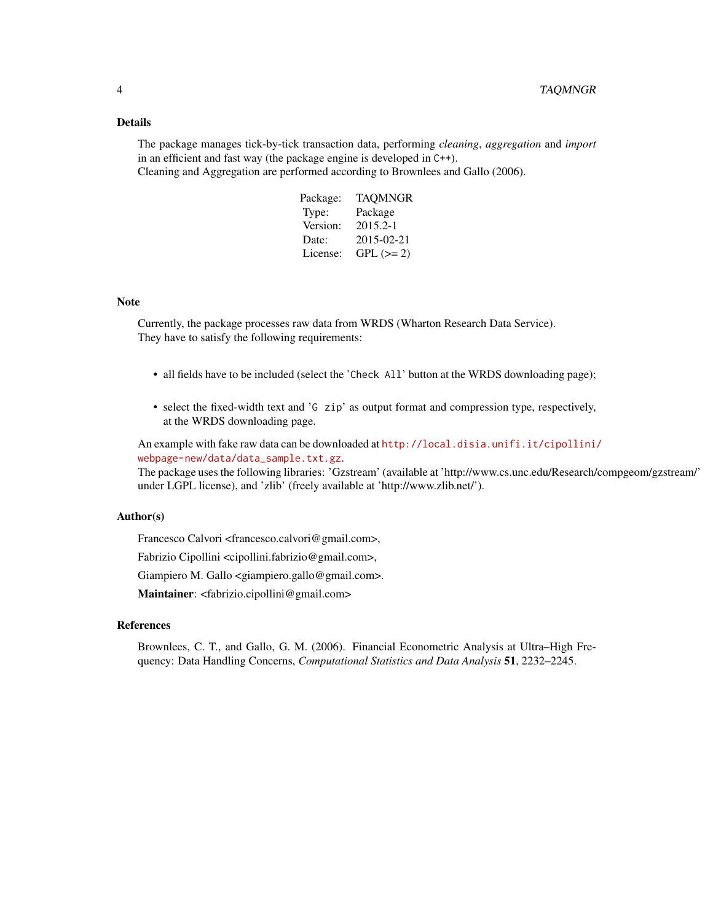#### Details

The package manages tick-by-tick transaction data, performing *cleaning*, *aggregation* and *import* in an efficient and fast way (the package engine is developed in C++). Cleaning and Aggregation are performed according to Brownlees and Gallo (2006).

| Package: | <b>TAQMNGR</b> |
|----------|----------------|
| Type:    | Package        |
| Version: | 2015.2-1       |
| Date:    | 2015-02-21     |
| License: | $GPL (= 2)$    |

#### Note

Currently, the package processes raw data from WRDS (Wharton Research Data Service). They have to satisfy the following requirements:

- all fields have to be included (select the 'Check All' button at the WRDS downloading page);
- select the fixed-width text and 'G zip' as output format and compression type, respectively, at the WRDS downloading page.

An example with fake raw data can be downloaded at [http://local.disia.unifi.it/cipollini/](http://local.disia.unifi.it/cipollini/webpage-new/data/data_sample.txt.gz) [webpage-new/data/data\\_sample.txt.gz](http://local.disia.unifi.it/cipollini/webpage-new/data/data_sample.txt.gz).

The package uses the following libraries: 'Gzstream' (available at 'http://www.cs.unc.edu/Research/compgeom/gzstream/' under LGPL license), and 'zlib' (freely available at 'http://www.zlib.net/').

#### Author(s)

Francesco Calvori <francesco.calvori@gmail.com>,

Fabrizio Cipollini <cipollini.fabrizio@gmail.com>,

Giampiero M. Gallo <giampiero.gallo@gmail.com>.

Maintainer: <fabrizio.cipollini@gmail.com>

#### References

Brownlees, C. T., and Gallo, G. M. (2006). Financial Econometric Analysis at Ultra–High Frequency: Data Handling Concerns, *Computational Statistics and Data Analysis* 51, 2232–2245.